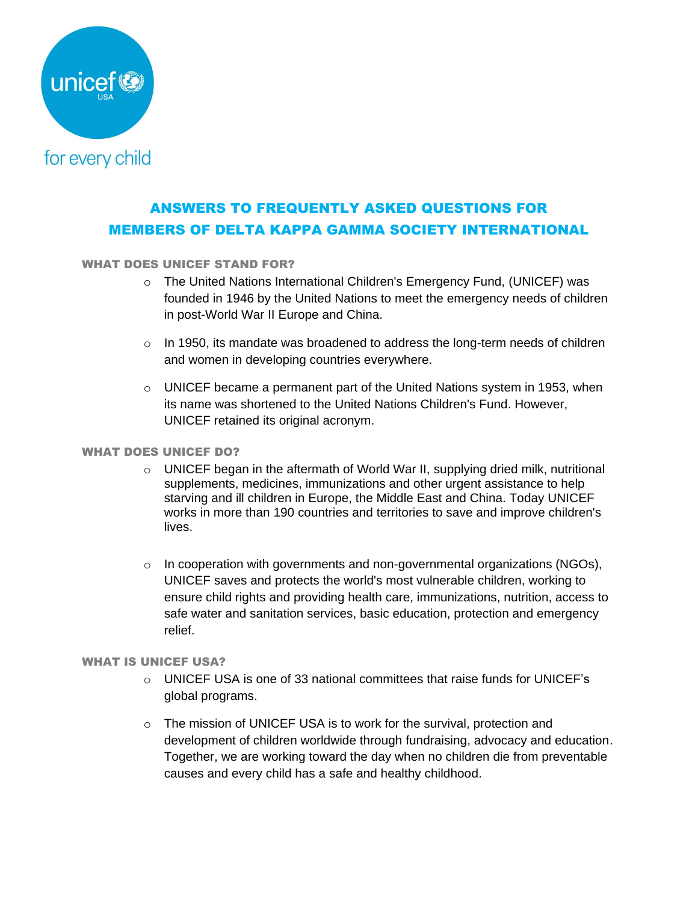

# ANSWERS TO FREQUENTLY ASKED QUESTIONS FOR MEMBERS OF DELTA KAPPA GAMMA SOCIETY INTERNATIONAL

### WHAT DOES UNICEF STAND FOR?

- o The United Nations International Children's Emergency Fund, (UNICEF) was founded in 1946 by the United Nations to meet the emergency needs of children in post-World War II Europe and China.
- $\circ$  In 1950, its mandate was broadened to address the long-term needs of children and women in developing countries everywhere.
- $\circ$  UNICEF became a permanent part of the United Nations system in 1953, when its name was shortened to the United Nations Children's Fund. However, UNICEF retained its original acronym.

#### WHAT DOES UNICEF DO?

- $\circ$  UNICEF began in the aftermath of World War II, supplying dried milk, nutritional supplements, medicines, immunizations and other urgent assistance to help starving and ill children in Europe, the Middle East and China. Today UNICEF works in more than 190 countries and territories to save and improve children's lives.
- o In cooperation with governments and non-governmental organizations (NGOs), UNICEF saves and protects the world's most vulnerable children, working to ensure child rights and providing health care, immunizations, nutrition, access to safe water and sanitation services, basic education, protection and emergency relief.

#### WHAT IS UNICEF USA?

- $\circ$  UNICEF USA is one of 33 national committees that raise funds for UNICEF's global programs.
- o The mission of UNICEF USA is to work for the survival, protection and development of children worldwide through fundraising, advocacy and education. Together, we are working toward the day when no children die from preventable causes and every child has a safe and healthy childhood.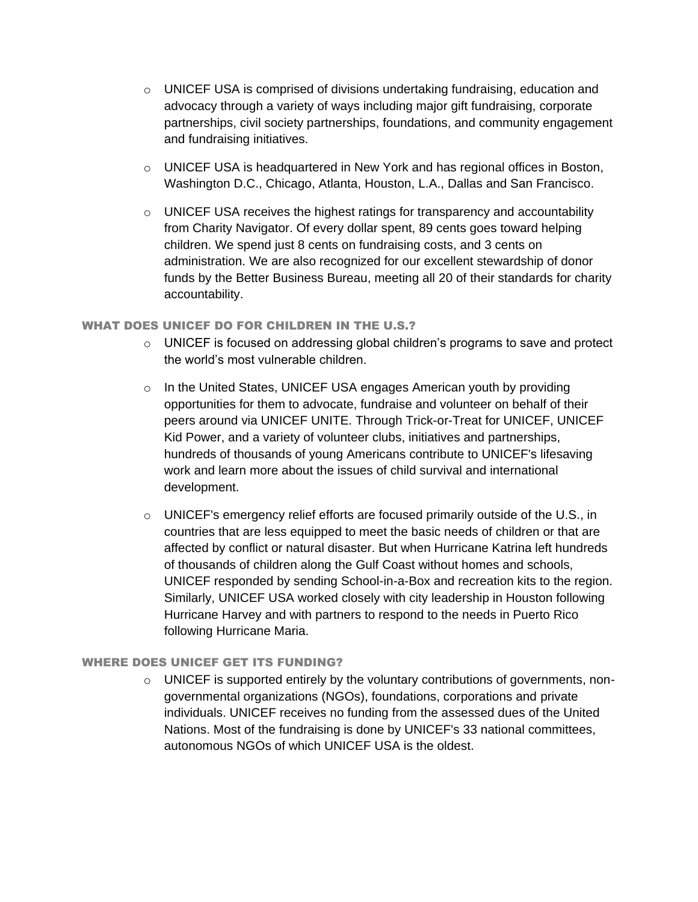- $\circ$  UNICEF USA is comprised of divisions undertaking fundraising, education and advocacy through a variety of ways including major gift fundraising, corporate partnerships, civil society partnerships, foundations, and community engagement and fundraising initiatives.
- $\circ$  UNICEF USA is headquartered in New York and has regional offices in Boston, Washington D.C., Chicago, Atlanta, Houston, L.A., Dallas and San Francisco.
- $\circ$  UNICEF USA receives the highest ratings for transparency and accountability from Charity Navigator. Of every dollar spent, 89 cents goes toward helping children. We spend just 8 cents on fundraising costs, and 3 cents on administration. We are also recognized for our excellent stewardship of donor funds by the Better Business Bureau, meeting all 20 of their standards for charity accountability.

#### WHAT DOES UNICEF DO FOR CHILDREN IN THE U.S.?

- $\circ$  UNICEF is focused on addressing global children's programs to save and protect the world's most vulnerable children.
- o In the United States, UNICEF USA engages American youth by providing opportunities for them to advocate, fundraise and volunteer on behalf of their peers around via UNICEF UNITE. Through Trick-or-Treat for UNICEF, UNICEF Kid Power, and a variety of volunteer clubs, initiatives and partnerships, hundreds of thousands of young Americans contribute to UNICEF's lifesaving work and learn more about the issues of child survival and international development.
- $\circ$  UNICEF's emergency relief efforts are focused primarily outside of the U.S., in countries that are less equipped to meet the basic needs of children or that are affected by conflict or natural disaster. But when Hurricane Katrina left hundreds of thousands of children along the Gulf Coast without homes and schools, UNICEF responded by sending School-in-a-Box and recreation kits to the region. Similarly, UNICEF USA worked closely with city leadership in Houston following Hurricane Harvey and with partners to respond to the needs in Puerto Rico following Hurricane Maria.

#### WHERE DOES UNICEF GET ITS FUNDING?

 $\circ$  UNICEF is supported entirely by the voluntary contributions of governments, nongovernmental organizations (NGOs), foundations, corporations and private individuals. UNICEF receives no funding from the assessed dues of the United Nations. Most of the fundraising is done by UNICEF's 33 national committees, autonomous NGOs of which UNICEF USA is the oldest.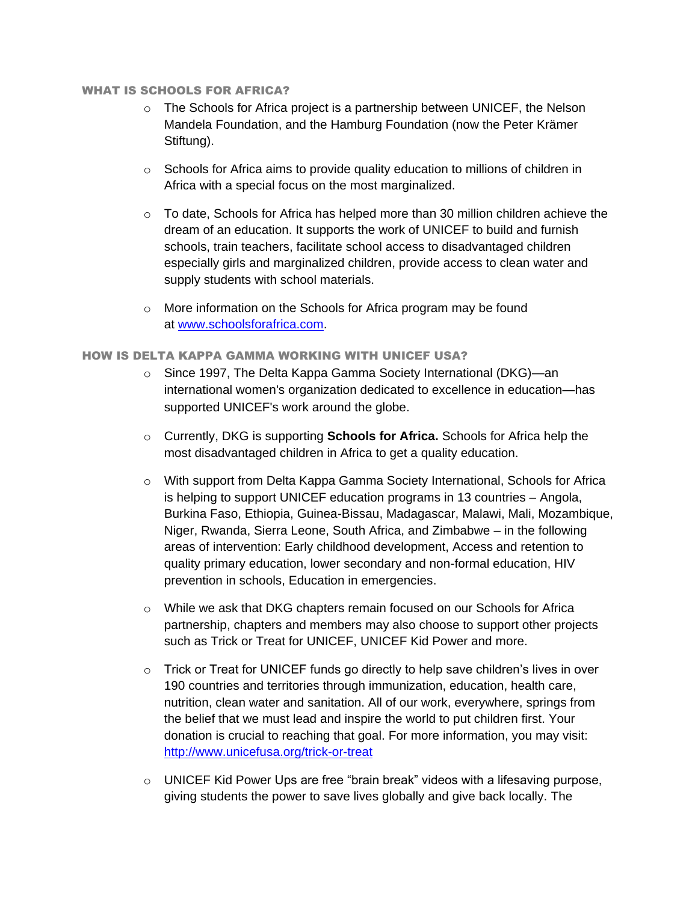#### WHAT IS SCHOOLS FOR AFRICA?

- $\circ$  The Schools for Africa project is a partnership between UNICEF, the Nelson Mandela Foundation, and the Hamburg Foundation (now the Peter Krämer Stiftung).
- $\circ$  Schools for Africa aims to provide quality education to millions of children in Africa with a special focus on the most marginalized.
- $\circ$  To date, Schools for Africa has helped more than 30 million children achieve the dream of an education. It supports the work of UNICEF to build and furnish schools, train teachers, facilitate school access to disadvantaged children especially girls and marginalized children, provide access to clean water and supply students with school materials.
- o More information on the Schools for Africa program may be found at [www.schoolsforafrica.com.](http://www.schoolsforafrica.com/)

#### HOW IS DELTA KAPPA GAMMA WORKING WITH UNICEF USA?

- o Since 1997, The Delta Kappa Gamma Society International (DKG)—an international women's organization dedicated to excellence in education—has supported [UNICEF's work](http://www.unicefusa.org/work/) around the globe.
- o Currently, DKG is supporting **Schools for Africa.** Schools for Africa help the most disadvantaged children in Africa to get a quality education.
- o With support from Delta Kappa Gamma Society International, Schools for Africa is helping to support UNICEF education programs in 13 countries – Angola, Burkina Faso, Ethiopia, Guinea-Bissau, Madagascar, Malawi, Mali, Mozambique, Niger, Rwanda, Sierra Leone, South Africa, and Zimbabwe – in the following areas of intervention: Early childhood development, Access and retention to quality primary education, lower secondary and non-formal education, HIV prevention in schools, Education in emergencies.
- o While we ask that DKG chapters remain focused on our Schools for Africa partnership, chapters and members may also choose to support other projects such as Trick or Treat for UNICEF, UNICEF Kid Power and more.
- $\circ$  Trick or Treat for UNICEF funds go directly to help save children's lives in over 190 countries and territories through immunization, education, health care, nutrition, clean water and sanitation. All of our work, everywhere, springs from the belief that we must lead and inspire the world to put children first. Your donation is crucial to reaching that goal. For more information, you may visit: <http://www.unicefusa.org/trick-or-treat>
- $\circ$  UNICEF Kid Power Ups are free "brain break" videos with a lifesaving purpose, giving students the power to save lives globally and give back locally. The